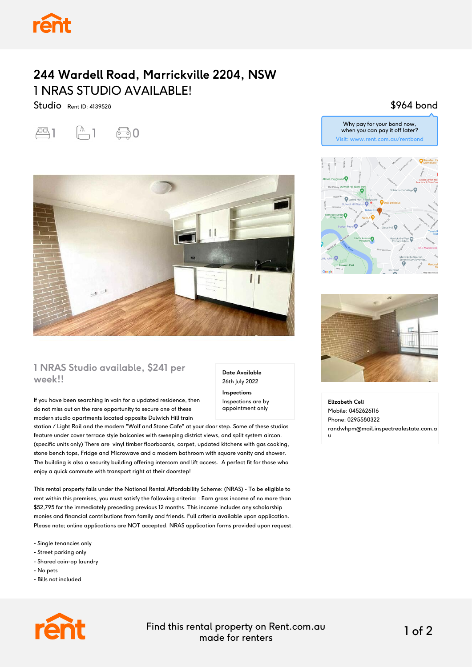### **244 Wardell Road, Marrickville 2204, NSW** 1 NRAS STUDIO AVAILABLE!

Studio Rent ID: 4139528





#### **1 NRAS Studio available, \$241 per week!!**

If you have been searching in vain for a updated residence, then do not miss out on the rare opportunity to secure one of these modern studio apartments located opposite Dulwich Hill train

station / Light Rail and the modern "Wolf and Stone Cafe" at your door step. Some of these studios feature under cover terrace style balconies with sweeping district views, and split system aircon. (specific units only) There are vinyl timber floorboards, carpet, updated kitchens with gas cooking, stone bench tops, Fridge and Microwave and a modern bathroom with square vanity and shower. The building is also a security building offering intercom and lift access. A perfect fit for those who enjoy a quick commute with transport right at their doorstep!

This rental property falls under the National Rental Affordability Scheme: (NRAS) - To be eligible to rent within this premises, you must satisfy the following criteria: : Earn gross income of no more than \$52,795 for the immediately preceding previous 12 months. This income includes any scholarship monies and financial contributions from family and friends. Full criteria available upon application. Please note; online applications are NOT accepted. NRAS application forms provided upon request.

- Single tenancies only
- Street parking only
- Shared coin-op laundry
- No pets
- Bills not included



#### \$964 bond





**Elizabeth Celi** Mobile: 0452626116 Phone: 0295580322 randwhpm@mail.inspectrealestate.com.a u



Find this rental property on Rent.com.au made for renters 1 of 2